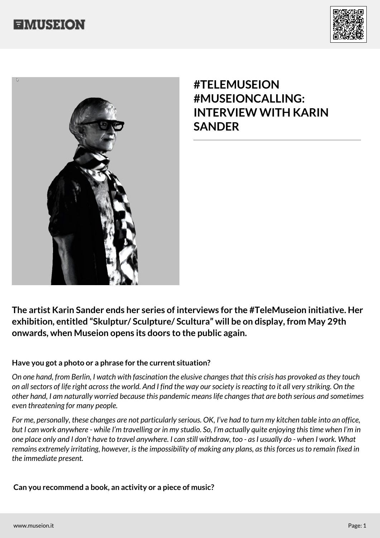



## **#TELEMUSEION #MUSEIONCALLING: INTERVIEW WITH KARIN SANDER**

**The artist Karin Sander ends her series of interviews for the #TeleMuseion initiative. Her exhibition, entitled "Skulptur/ Sculpture/ Scultura" will be on display, from May 29th onwards, when Museion opens its doors to the public again.**

## **Have you got a photo or a phrase for the current situation?**

*On one hand, from Berlin, I watch with fascination the elusive changes that this crisis has provoked as they touch on all sectors of life right across the world. And I find the way our society is reacting to it all very striking. On the other hand, I am naturally worried because this pandemic means life changes that are both serious and sometimes even threatening for many people.*

*For me, personally, these changes are not particularly serious. OK, I've had to turn my kitchen table into an office, but I can work anywhere - while I'm travelling or in my studio. So, I'm actually quite enjoying this time when I'm in one place only and I don't have to travel anywhere. I can still withdraw, too - as I usually do - when I work. What remains extremely irritating, however, is the impossibility of making any plans, as this forces us to remain fixed in the immediate present.*

 **Can you recommend a book, an activity or a piece of music?**